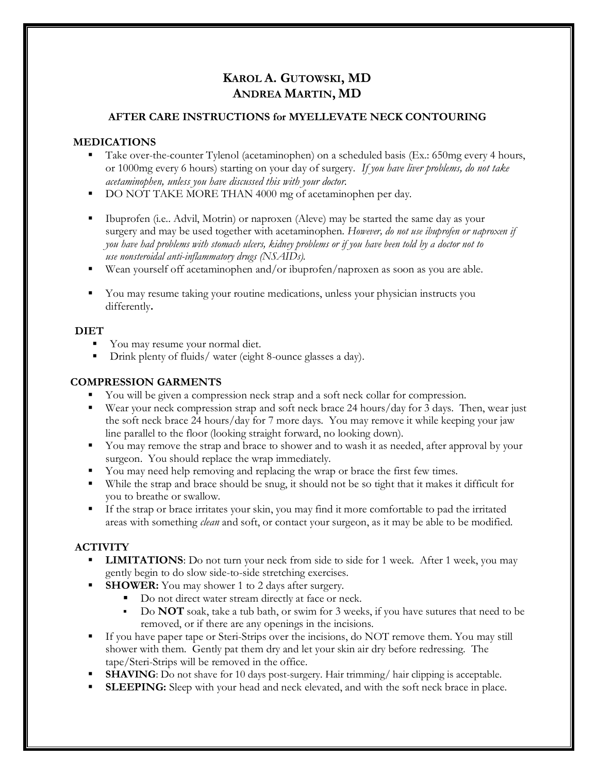# **KAROL A. GUTOWSKI, MD ANDREA MARTIN, MD**

### **AFTER CARE INSTRUCTIONS for MYELLEVATE NECK CONTOURING**

# **MEDICATIONS**

- Take over-the-counter Tylenol (acetaminophen) on a scheduled basis (Ex.: 650mg every 4 hours, or 1000mg every 6 hours) starting on your day of surgery. *If you have liver problems, do not take acetaminophen, unless you have discussed this with your doctor.*
- DO NOT TAKE MORE THAN 4000 mg of acetaminophen per day.
- Ibuprofen (i.e.. Advil, Motrin) or naproxen (Aleve) may be started the same day as your surgery and may be used together with acetaminophen. *However, do not use ibuprofen or naproxen if you have had problems with stomach ulcers, kidney problems or if you have been told by a doctor not to use nonsteroidal anti-inflammatory drugs (NSAIDs).*
- Wean yourself off acetaminophen and/or ibuprofen/naproxen as soon as you are able.
- You may resume taking your routine medications, unless your physician instructs you differently**.**

### **DIET**

- You may resume your normal diet.
- Drink plenty of fluids/ water (eight 8-ounce glasses a day).

## **COMPRESSION GARMENTS**

- You will be given a compression neck strap and a soft neck collar for compression.
- Wear your neck compression strap and soft neck brace 24 hours/day for 3 days. Then, wear just the soft neck brace 24 hours/day for 7 more days. You may remove it while keeping your jaw line parallel to the floor (looking straight forward, no looking down).
- You may remove the strap and brace to shower and to wash it as needed, after approval by your surgeon. You should replace the wrap immediately.
- You may need help removing and replacing the wrap or brace the first few times.
- While the strap and brace should be snug, it should not be so tight that it makes it difficult for you to breathe or swallow.
- If the strap or brace irritates your skin, you may find it more comfortable to pad the irritated areas with something *clean* and soft, or contact your surgeon, as it may be able to be modified.

# **ACTIVITY**

- **LIMITATIONS**: Do not turn your neck from side to side for 1 week. After 1 week, you may gently begin to do slow side-to-side stretching exercises.
- **SHOWER:** You may shower 1 to 2 days after surgery.
	- Do not direct water stream directly at face or neck.
	- Do **NOT** soak, take a tub bath, or swim for 3 weeks, if you have sutures that need to be removed, or if there are any openings in the incisions.
- If you have paper tape or Steri-Strips over the incisions, do NOT remove them. You may still shower with them. Gently pat them dry and let your skin air dry before redressing. The tape/Steri-Strips will be removed in the office.
- **SHAVING**: Do not shave for 10 days post-surgery. Hair trimming/ hair clipping is acceptable.
- **SLEEPING:** Sleep with your head and neck elevated, and with the soft neck brace in place.